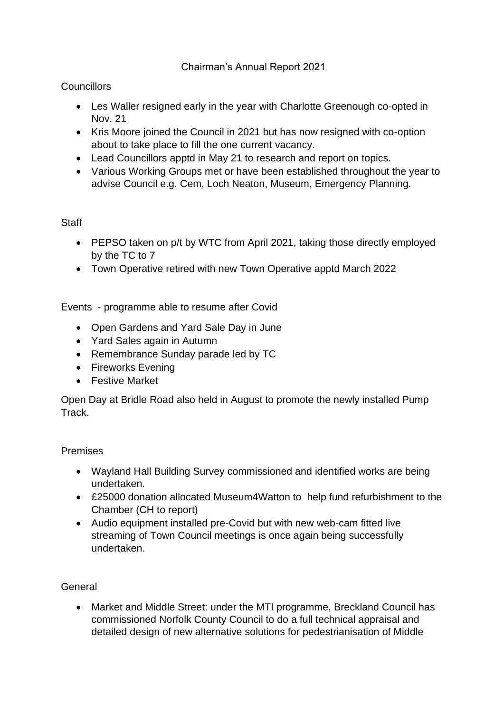## Chairman's Annual Report 2021

# **Councillors**

- Les Waller resigned early in the year with Charlotte Greenough co-opted in Nov. 21
- Kris Moore joined the Council in 2021 but has now resigned with co-option about to take place to fill the one current vacancy.
- Lead Councillors apptd in May 21 to research and report on topics.
- Various Working Groups met or have been established throughout the year to advise Council e.g. Cem, Loch Neaton, Museum, Emergency Planning.

### **Staff**

- PEPSO taken on p/t by WTC from April 2021, taking those directly employed by the TC to 7
- Town Operative retired with new Town Operative apptd March 2022

Events - programme able to resume after Covid

- Open Gardens and Yard Sale Day in June
- Yard Sales again in Autumn
- Remembrance Sunday parade led by TC
- Fireworks Evening
- Festive Market

Open Day at Bridle Road also held in August to promote the newly installed Pump Track.

### Premises

- Wayland Hall Building Survey commissioned and identified works are being undertaken.
- £25000 donation allocated Museum4Watton to help fund refurbishment to the Chamber (CH to report)
- Audio equipment installed pre-Covid but with new web-cam fitted live streaming of Town Council meetings is once again being successfully undertaken.

### General

• Market and Middle Street: under the MTI programme, Breckland Council has commissioned Norfolk County Council to do a full technical appraisal and detailed design of new alternative solutions for pedestrianisation of Middle